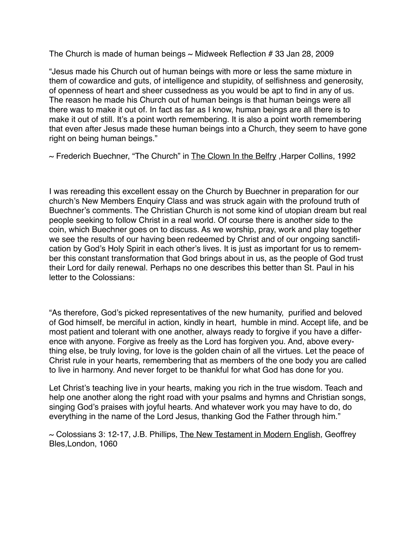The Church is made of human beings  $\sim$  Midweek Reflection # 33 Jan 28, 2009

"Jesus made his Church out of human beings with more or less the same mixture in them of cowardice and guts, of intelligence and stupidity, of selfishness and generosity, of openness of heart and sheer cussedness as you would be apt to find in any of us. The reason he made his Church out of human beings is that human beings were all there was to make it out of. In fact as far as I know, human beings are all there is to make it out of still. It's a point worth remembering. It is also a point worth remembering that even after Jesus made these human beings into a Church, they seem to have gone right on being human beings."

~ Frederich Buechner, "The Church" in The Clown In the Belfry, Harper Collins, 1992

I was rereading this excellent essay on the Church by Buechner in preparation for our church's New Members Enquiry Class and was struck again with the profound truth of Buechner's comments. The Christian Church is not some kind of utopian dream but real people seeking to follow Christ in a real world. Of course there is another side to the coin, which Buechner goes on to discuss. As we worship, pray, work and play together we see the results of our having been redeemed by Christ and of our ongoing sanctification by God's Holy Spirit in each other's lives. It is just as important for us to remember this constant transformation that God brings about in us, as the people of God trust their Lord for daily renewal. Perhaps no one describes this better than St. Paul in his letter to the Colossians:

"As therefore, God's picked representatives of the new humanity, purified and beloved of God himself, be merciful in action, kindly in heart, humble in mind. Accept life, and be most patient and tolerant with one another, always ready to forgive if you have a difference with anyone. Forgive as freely as the Lord has forgiven you. And, above everything else, be truly loving, for love is the golden chain of all the virtues. Let the peace of Christ rule in your hearts, remembering that as members of the one body you are called to live in harmony. And never forget to be thankful for what God has done for you.

Let Christ's teaching live in your hearts, making you rich in the true wisdom. Teach and help one another along the right road with your psalms and hymns and Christian songs, singing God's praises with joyful hearts. And whatever work you may have to do, do everything in the name of the Lord Jesus, thanking God the Father through him."

~ Colossians 3: 12-17, J.B. Phillips, The New Testament in Modern English, Geoffrey Bles,London, 1060